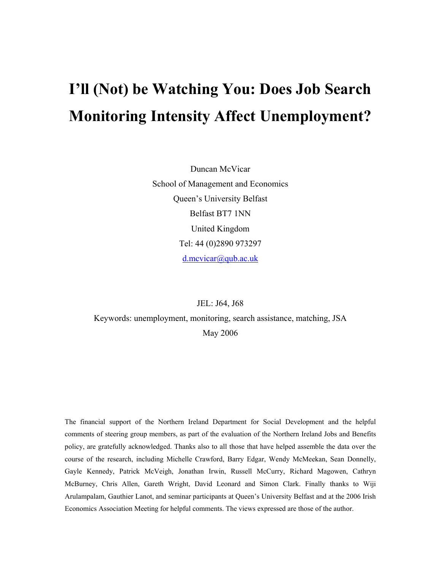# **I'll (Not) be Watching You: Does Job Search Monitoring Intensity Affect Unemployment?**

Duncan McVicar School of Management and Economics Queen's University Belfast Belfast BT7 1NN United Kingdom Tel: 44 (0)2890 973297 d.mcvicar@qub.ac.uk

#### JEL: J64, J68

Keywords: unemployment, monitoring, search assistance, matching, JSA May 2006

The financial support of the Northern Ireland Department for Social Development and the helpful comments of steering group members, as part of the evaluation of the Northern Ireland Jobs and Benefits policy, are gratefully acknowledged. Thanks also to all those that have helped assemble the data over the course of the research, including Michelle Crawford, Barry Edgar, Wendy McMeekan, Sean Donnelly, Gayle Kennedy, Patrick McVeigh, Jonathan Irwin, Russell McCurry, Richard Magowen, Cathryn McBurney, Chris Allen, Gareth Wright, David Leonard and Simon Clark. Finally thanks to Wiji Arulampalam, Gauthier Lanot, and seminar participants at Queen's University Belfast and at the 2006 Irish Economics Association Meeting for helpful comments. The views expressed are those of the author.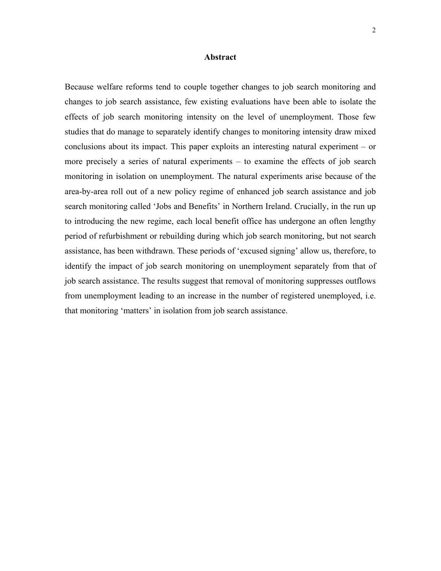#### **Abstract**

Because welfare reforms tend to couple together changes to job search monitoring and changes to job search assistance, few existing evaluations have been able to isolate the effects of job search monitoring intensity on the level of unemployment. Those few studies that do manage to separately identify changes to monitoring intensity draw mixed conclusions about its impact. This paper exploits an interesting natural experiment – or more precisely a series of natural experiments – to examine the effects of job search monitoring in isolation on unemployment. The natural experiments arise because of the area-by-area roll out of a new policy regime of enhanced job search assistance and job search monitoring called 'Jobs and Benefits' in Northern Ireland. Crucially, in the run up to introducing the new regime, each local benefit office has undergone an often lengthy period of refurbishment or rebuilding during which job search monitoring, but not search assistance, has been withdrawn. These periods of 'excused signing' allow us, therefore, to identify the impact of job search monitoring on unemployment separately from that of job search assistance. The results suggest that removal of monitoring suppresses outflows from unemployment leading to an increase in the number of registered unemployed, i.e. that monitoring 'matters' in isolation from job search assistance.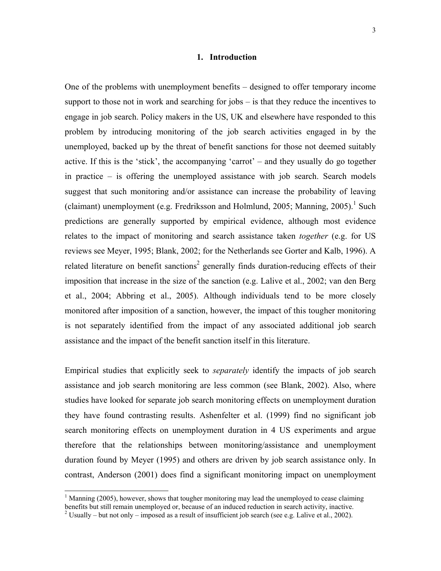#### **1. Introduction**

One of the problems with unemployment benefits – designed to offer temporary income support to those not in work and searching for jobs – is that they reduce the incentives to engage in job search. Policy makers in the US, UK and elsewhere have responded to this problem by introducing monitoring of the job search activities engaged in by the unemployed, backed up by the threat of benefit sanctions for those not deemed suitably active. If this is the 'stick', the accompanying 'carrot' – and they usually do go together in practice – is offering the unemployed assistance with job search. Search models suggest that such monitoring and/or assistance can increase the probability of leaving (claimant) unemployment (e.g. Fredriksson and Holmlund, 2005; Manning, 2005).<sup>1</sup> Such predictions are generally supported by empirical evidence, although most evidence relates to the impact of monitoring and search assistance taken *together* (e.g. for US reviews see Meyer, 1995; Blank, 2002; for the Netherlands see Gorter and Kalb, 1996). A related literature on benefit sanctions<sup>2</sup> generally finds duration-reducing effects of their imposition that increase in the size of the sanction (e.g. Lalive et al., 2002; van den Berg et al., 2004; Abbring et al., 2005). Although individuals tend to be more closely monitored after imposition of a sanction, however, the impact of this tougher monitoring is not separately identified from the impact of any associated additional job search assistance and the impact of the benefit sanction itself in this literature.

Empirical studies that explicitly seek to *separately* identify the impacts of job search assistance and job search monitoring are less common (see Blank, 2002). Also, where studies have looked for separate job search monitoring effects on unemployment duration they have found contrasting results. Ashenfelter et al. (1999) find no significant job search monitoring effects on unemployment duration in 4 US experiments and argue therefore that the relationships between monitoring/assistance and unemployment duration found by Meyer (1995) and others are driven by job search assistance only. In contrast, Anderson (2001) does find a significant monitoring impact on unemployment

l

 $1$  Manning (2005), however, shows that tougher monitoring may lead the unemployed to cease claiming benefits but still remain unemployed or, because of an induced reduction in search activity, inactive. 2

<sup>&</sup>lt;sup>2</sup> Usually – but not only – imposed as a result of insufficient job search (see e.g. Lalive et al., 2002).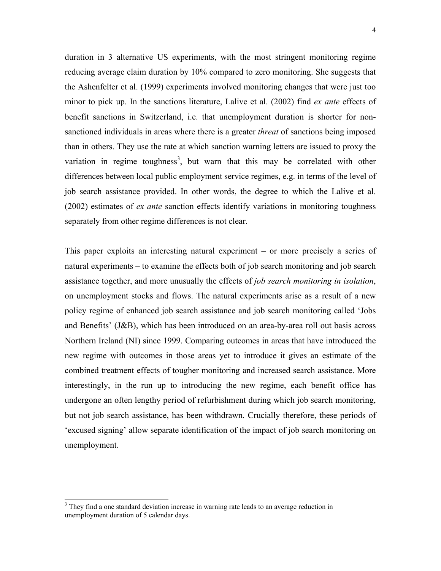duration in 3 alternative US experiments, with the most stringent monitoring regime reducing average claim duration by 10% compared to zero monitoring. She suggests that the Ashenfelter et al. (1999) experiments involved monitoring changes that were just too minor to pick up. In the sanctions literature, Lalive et al. (2002) find *ex ante* effects of benefit sanctions in Switzerland, i.e. that unemployment duration is shorter for nonsanctioned individuals in areas where there is a greater *threat* of sanctions being imposed than in others. They use the rate at which sanction warning letters are issued to proxy the variation in regime toughness<sup>3</sup>, but warn that this may be correlated with other differences between local public employment service regimes, e.g. in terms of the level of job search assistance provided. In other words, the degree to which the Lalive et al. (2002) estimates of *ex ante* sanction effects identify variations in monitoring toughness separately from other regime differences is not clear.

This paper exploits an interesting natural experiment – or more precisely a series of natural experiments – to examine the effects both of job search monitoring and job search assistance together, and more unusually the effects of *job search monitoring in isolation*, on unemployment stocks and flows. The natural experiments arise as a result of a new policy regime of enhanced job search assistance and job search monitoring called 'Jobs and Benefits' (J&B), which has been introduced on an area-by-area roll out basis across Northern Ireland (NI) since 1999. Comparing outcomes in areas that have introduced the new regime with outcomes in those areas yet to introduce it gives an estimate of the combined treatment effects of tougher monitoring and increased search assistance. More interestingly, in the run up to introducing the new regime, each benefit office has undergone an often lengthy period of refurbishment during which job search monitoring, but not job search assistance, has been withdrawn. Crucially therefore, these periods of 'excused signing' allow separate identification of the impact of job search monitoring on unemployment.

 $\overline{a}$ 

 $3$  They find a one standard deviation increase in warning rate leads to an average reduction in unemployment duration of 5 calendar days.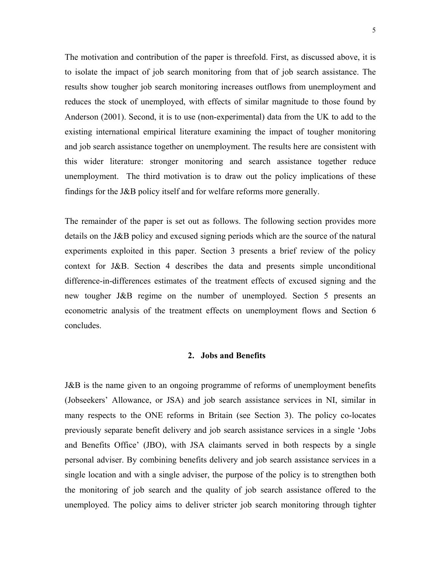The motivation and contribution of the paper is threefold. First, as discussed above, it is to isolate the impact of job search monitoring from that of job search assistance. The results show tougher job search monitoring increases outflows from unemployment and reduces the stock of unemployed, with effects of similar magnitude to those found by Anderson (2001). Second, it is to use (non-experimental) data from the UK to add to the existing international empirical literature examining the impact of tougher monitoring and job search assistance together on unemployment. The results here are consistent with this wider literature: stronger monitoring and search assistance together reduce unemployment. The third motivation is to draw out the policy implications of these findings for the J&B policy itself and for welfare reforms more generally.

The remainder of the paper is set out as follows. The following section provides more details on the J&B policy and excused signing periods which are the source of the natural experiments exploited in this paper. Section 3 presents a brief review of the policy context for J&B. Section 4 describes the data and presents simple unconditional difference-in-differences estimates of the treatment effects of excused signing and the new tougher J&B regime on the number of unemployed. Section 5 presents an econometric analysis of the treatment effects on unemployment flows and Section 6 concludes.

#### **2. Jobs and Benefits**

J&B is the name given to an ongoing programme of reforms of unemployment benefits (Jobseekers' Allowance, or JSA) and job search assistance services in NI, similar in many respects to the ONE reforms in Britain (see Section 3). The policy co-locates previously separate benefit delivery and job search assistance services in a single 'Jobs and Benefits Office' (JBO), with JSA claimants served in both respects by a single personal adviser. By combining benefits delivery and job search assistance services in a single location and with a single adviser, the purpose of the policy is to strengthen both the monitoring of job search and the quality of job search assistance offered to the unemployed. The policy aims to deliver stricter job search monitoring through tighter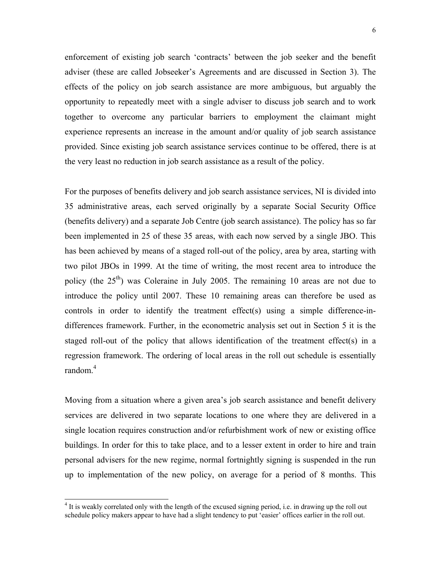enforcement of existing job search 'contracts' between the job seeker and the benefit adviser (these are called Jobseeker's Agreements and are discussed in Section 3). The effects of the policy on job search assistance are more ambiguous, but arguably the opportunity to repeatedly meet with a single adviser to discuss job search and to work together to overcome any particular barriers to employment the claimant might experience represents an increase in the amount and/or quality of job search assistance provided. Since existing job search assistance services continue to be offered, there is at the very least no reduction in job search assistance as a result of the policy.

For the purposes of benefits delivery and job search assistance services, NI is divided into 35 administrative areas, each served originally by a separate Social Security Office (benefits delivery) and a separate Job Centre (job search assistance). The policy has so far been implemented in 25 of these 35 areas, with each now served by a single JBO. This has been achieved by means of a staged roll-out of the policy, area by area, starting with two pilot JBOs in 1999. At the time of writing, the most recent area to introduce the policy (the 25<sup>th</sup>) was Coleraine in July 2005. The remaining 10 areas are not due to introduce the policy until 2007. These 10 remaining areas can therefore be used as controls in order to identify the treatment effect(s) using a simple difference-indifferences framework. Further, in the econometric analysis set out in Section 5 it is the staged roll-out of the policy that allows identification of the treatment effect(s) in a regression framework. The ordering of local areas in the roll out schedule is essentially random.<sup>4</sup>

Moving from a situation where a given area's job search assistance and benefit delivery services are delivered in two separate locations to one where they are delivered in a single location requires construction and/or refurbishment work of new or existing office buildings. In order for this to take place, and to a lesser extent in order to hire and train personal advisers for the new regime, normal fortnightly signing is suspended in the run up to implementation of the new policy, on average for a period of 8 months. This

 $\overline{\phantom{a}}$ 

<sup>&</sup>lt;sup>4</sup> It is weakly correlated only with the length of the excused signing period, i.e. in drawing up the roll out schedule policy makers appear to have had a slight tendency to put 'easier' offices earlier in the roll out.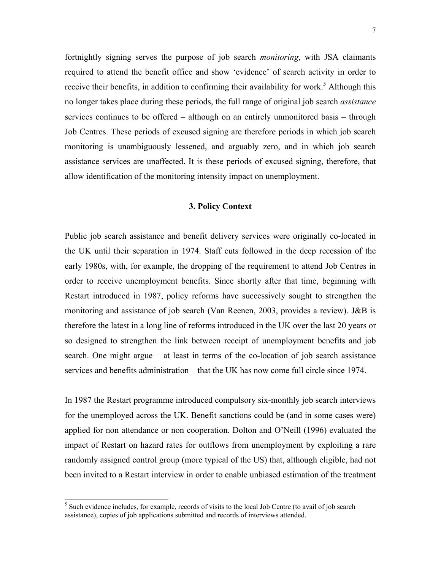fortnightly signing serves the purpose of job search *monitoring*, with JSA claimants required to attend the benefit office and show 'evidence' of search activity in order to receive their benefits, in addition to confirming their availability for work.<sup>5</sup> Although this no longer takes place during these periods, the full range of original job search *assistance* services continues to be offered – although on an entirely unmonitored basis – through Job Centres. These periods of excused signing are therefore periods in which job search monitoring is unambiguously lessened, and arguably zero, and in which job search assistance services are unaffected. It is these periods of excused signing, therefore, that allow identification of the monitoring intensity impact on unemployment.

#### **3. Policy Context**

Public job search assistance and benefit delivery services were originally co-located in the UK until their separation in 1974. Staff cuts followed in the deep recession of the early 1980s, with, for example, the dropping of the requirement to attend Job Centres in order to receive unemployment benefits. Since shortly after that time, beginning with Restart introduced in 1987, policy reforms have successively sought to strengthen the monitoring and assistance of job search (Van Reenen, 2003, provides a review). J&B is therefore the latest in a long line of reforms introduced in the UK over the last 20 years or so designed to strengthen the link between receipt of unemployment benefits and job search. One might argue – at least in terms of the co-location of job search assistance services and benefits administration – that the UK has now come full circle since 1974.

In 1987 the Restart programme introduced compulsory six-monthly job search interviews for the unemployed across the UK. Benefit sanctions could be (and in some cases were) applied for non attendance or non cooperation. Dolton and O'Neill (1996) evaluated the impact of Restart on hazard rates for outflows from unemployment by exploiting a rare randomly assigned control group (more typical of the US) that, although eligible, had not been invited to a Restart interview in order to enable unbiased estimation of the treatment

 $\overline{\phantom{a}}$ 

 $<sup>5</sup>$  Such evidence includes, for example, records of visits to the local Job Centre (to avail of job search</sup> assistance), copies of job applications submitted and records of interviews attended.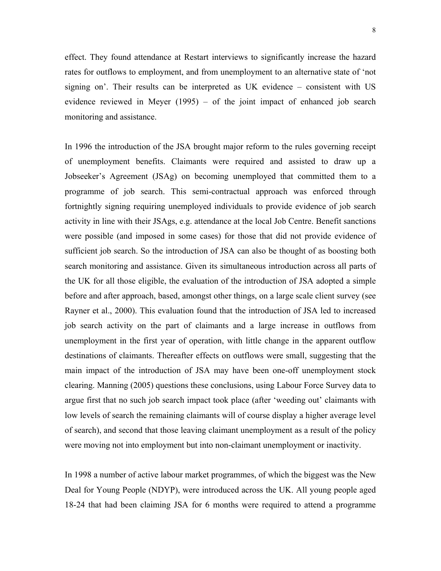effect. They found attendance at Restart interviews to significantly increase the hazard rates for outflows to employment, and from unemployment to an alternative state of 'not signing on'. Their results can be interpreted as UK evidence – consistent with US evidence reviewed in Meyer (1995) – of the joint impact of enhanced job search monitoring and assistance.

In 1996 the introduction of the JSA brought major reform to the rules governing receipt of unemployment benefits. Claimants were required and assisted to draw up a Jobseeker's Agreement (JSAg) on becoming unemployed that committed them to a programme of job search. This semi-contractual approach was enforced through fortnightly signing requiring unemployed individuals to provide evidence of job search activity in line with their JSAgs, e.g. attendance at the local Job Centre. Benefit sanctions were possible (and imposed in some cases) for those that did not provide evidence of sufficient job search. So the introduction of JSA can also be thought of as boosting both search monitoring and assistance. Given its simultaneous introduction across all parts of the UK for all those eligible, the evaluation of the introduction of JSA adopted a simple before and after approach, based, amongst other things, on a large scale client survey (see Rayner et al., 2000). This evaluation found that the introduction of JSA led to increased job search activity on the part of claimants and a large increase in outflows from unemployment in the first year of operation, with little change in the apparent outflow destinations of claimants. Thereafter effects on outflows were small, suggesting that the main impact of the introduction of JSA may have been one-off unemployment stock clearing. Manning (2005) questions these conclusions, using Labour Force Survey data to argue first that no such job search impact took place (after 'weeding out' claimants with low levels of search the remaining claimants will of course display a higher average level of search), and second that those leaving claimant unemployment as a result of the policy were moving not into employment but into non-claimant unemployment or inactivity.

In 1998 a number of active labour market programmes, of which the biggest was the New Deal for Young People (NDYP), were introduced across the UK. All young people aged 18-24 that had been claiming JSA for 6 months were required to attend a programme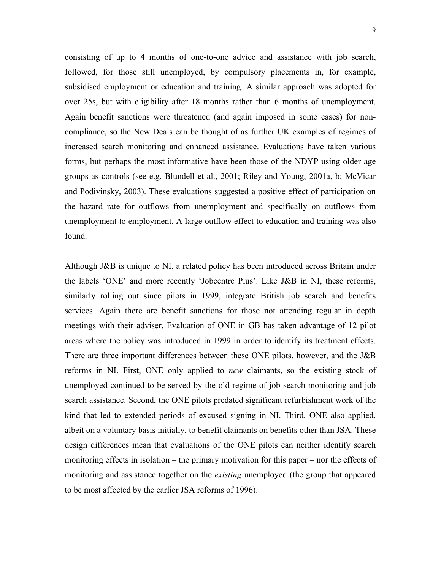consisting of up to 4 months of one-to-one advice and assistance with job search, followed, for those still unemployed, by compulsory placements in, for example, subsidised employment or education and training. A similar approach was adopted for over 25s, but with eligibility after 18 months rather than 6 months of unemployment. Again benefit sanctions were threatened (and again imposed in some cases) for noncompliance, so the New Deals can be thought of as further UK examples of regimes of increased search monitoring and enhanced assistance. Evaluations have taken various forms, but perhaps the most informative have been those of the NDYP using older age groups as controls (see e.g. Blundell et al., 2001; Riley and Young, 2001a, b; McVicar and Podivinsky, 2003). These evaluations suggested a positive effect of participation on the hazard rate for outflows from unemployment and specifically on outflows from unemployment to employment. A large outflow effect to education and training was also found.

Although J&B is unique to NI, a related policy has been introduced across Britain under the labels 'ONE' and more recently 'Jobcentre Plus'. Like J&B in NI, these reforms, similarly rolling out since pilots in 1999, integrate British job search and benefits services. Again there are benefit sanctions for those not attending regular in depth meetings with their adviser. Evaluation of ONE in GB has taken advantage of 12 pilot areas where the policy was introduced in 1999 in order to identify its treatment effects. There are three important differences between these ONE pilots, however, and the J&B reforms in NI. First, ONE only applied to *new* claimants, so the existing stock of unemployed continued to be served by the old regime of job search monitoring and job search assistance. Second, the ONE pilots predated significant refurbishment work of the kind that led to extended periods of excused signing in NI. Third, ONE also applied, albeit on a voluntary basis initially, to benefit claimants on benefits other than JSA. These design differences mean that evaluations of the ONE pilots can neither identify search monitoring effects in isolation – the primary motivation for this paper – nor the effects of monitoring and assistance together on the *existing* unemployed (the group that appeared to be most affected by the earlier JSA reforms of 1996).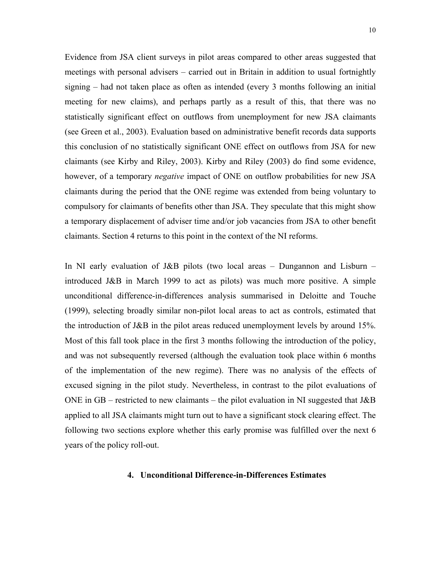Evidence from JSA client surveys in pilot areas compared to other areas suggested that meetings with personal advisers – carried out in Britain in addition to usual fortnightly signing – had not taken place as often as intended (every 3 months following an initial meeting for new claims), and perhaps partly as a result of this, that there was no statistically significant effect on outflows from unemployment for new JSA claimants (see Green et al., 2003). Evaluation based on administrative benefit records data supports this conclusion of no statistically significant ONE effect on outflows from JSA for new claimants (see Kirby and Riley, 2003). Kirby and Riley (2003) do find some evidence, however, of a temporary *negative* impact of ONE on outflow probabilities for new JSA claimants during the period that the ONE regime was extended from being voluntary to compulsory for claimants of benefits other than JSA. They speculate that this might show a temporary displacement of adviser time and/or job vacancies from JSA to other benefit claimants. Section 4 returns to this point in the context of the NI reforms.

In NI early evaluation of J&B pilots (two local areas – Dungannon and Lisburn – introduced J&B in March 1999 to act as pilots) was much more positive. A simple unconditional difference-in-differences analysis summarised in Deloitte and Touche (1999), selecting broadly similar non-pilot local areas to act as controls, estimated that the introduction of J&B in the pilot areas reduced unemployment levels by around 15%. Most of this fall took place in the first 3 months following the introduction of the policy, and was not subsequently reversed (although the evaluation took place within 6 months of the implementation of the new regime). There was no analysis of the effects of excused signing in the pilot study. Nevertheless, in contrast to the pilot evaluations of ONE in GB – restricted to new claimants – the pilot evaluation in NI suggested that  $J\&B$ applied to all JSA claimants might turn out to have a significant stock clearing effect. The following two sections explore whether this early promise was fulfilled over the next 6 years of the policy roll-out.

#### **4. Unconditional Difference-in-Differences Estimates**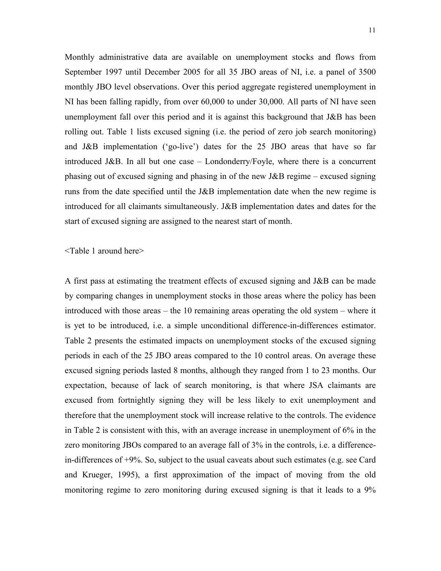Monthly administrative data are available on unemployment stocks and flows from September 1997 until December 2005 for all 35 JBO areas of NI, i.e. a panel of 3500 monthly JBO level observations. Over this period aggregate registered unemployment in NI has been falling rapidly, from over 60,000 to under 30,000. All parts of NI have seen unemployment fall over this period and it is against this background that J&B has been rolling out. Table 1 lists excused signing (i.e. the period of zero job search monitoring) and J&B implementation ('go-live') dates for the 25 JBO areas that have so far introduced J&B. In all but one case – Londonderry/Foyle, where there is a concurrent phasing out of excused signing and phasing in of the new J&B regime – excused signing runs from the date specified until the J&B implementation date when the new regime is introduced for all claimants simultaneously. J&B implementation dates and dates for the start of excused signing are assigned to the nearest start of month.

<Table 1 around here>

A first pass at estimating the treatment effects of excused signing and J&B can be made by comparing changes in unemployment stocks in those areas where the policy has been introduced with those areas – the 10 remaining areas operating the old system – where it is yet to be introduced, i.e. a simple unconditional difference-in-differences estimator. Table 2 presents the estimated impacts on unemployment stocks of the excused signing periods in each of the 25 JBO areas compared to the 10 control areas. On average these excused signing periods lasted 8 months, although they ranged from 1 to 23 months. Our expectation, because of lack of search monitoring, is that where JSA claimants are excused from fortnightly signing they will be less likely to exit unemployment and therefore that the unemployment stock will increase relative to the controls. The evidence in Table 2 is consistent with this, with an average increase in unemployment of 6% in the zero monitoring JBOs compared to an average fall of 3% in the controls, i.e. a differencein-differences of +9%. So, subject to the usual caveats about such estimates (e.g. see Card and Krueger, 1995), a first approximation of the impact of moving from the old monitoring regime to zero monitoring during excused signing is that it leads to a 9%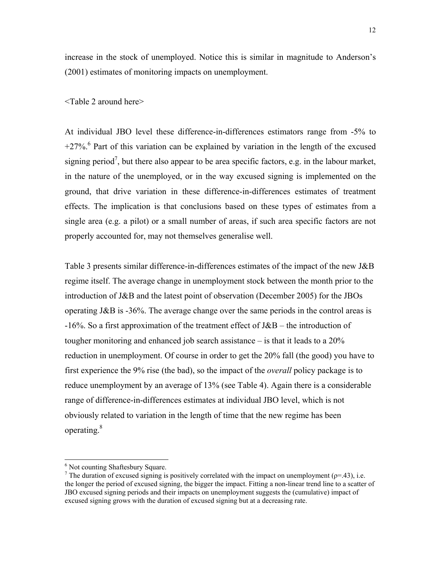increase in the stock of unemployed. Notice this is similar in magnitude to Anderson's (2001) estimates of monitoring impacts on unemployment.

#### <Table 2 around here>

At individual JBO level these difference-in-differences estimators range from -5% to  $+27\%$ <sup>6</sup> Part of this variation can be explained by variation in the length of the excused signing period<sup>7</sup>, but there also appear to be area specific factors, e.g. in the labour market, in the nature of the unemployed, or in the way excused signing is implemented on the ground, that drive variation in these difference-in-differences estimates of treatment effects. The implication is that conclusions based on these types of estimates from a single area (e.g. a pilot) or a small number of areas, if such area specific factors are not properly accounted for, may not themselves generalise well.

Table 3 presents similar difference-in-differences estimates of the impact of the new J&B regime itself. The average change in unemployment stock between the month prior to the introduction of J&B and the latest point of observation (December 2005) for the JBOs operating J&B is -36%. The average change over the same periods in the control areas is  $-16\%$ . So a first approximation of the treatment effect of J&B – the introduction of tougher monitoring and enhanced job search assistance – is that it leads to a 20% reduction in unemployment. Of course in order to get the 20% fall (the good) you have to first experience the 9% rise (the bad), so the impact of the *overall* policy package is to reduce unemployment by an average of 13% (see Table 4). Again there is a considerable range of difference-in-differences estimates at individual JBO level, which is not obviously related to variation in the length of time that the new regime has been operating.<sup>8</sup>

 $\overline{a}$ 

<sup>&</sup>lt;sup>6</sup> Not counting Shaftesbury Square.

<sup>&</sup>lt;sup>7</sup> The duration of excused signing is positively correlated with the impact on unemployment ( $p=43$ ), i.e. the longer the period of excused signing, the bigger the impact. Fitting a non-linear trend line to a scatter of JBO excused signing periods and their impacts on unemployment suggests the (cumulative) impact of excused signing grows with the duration of excused signing but at a decreasing rate.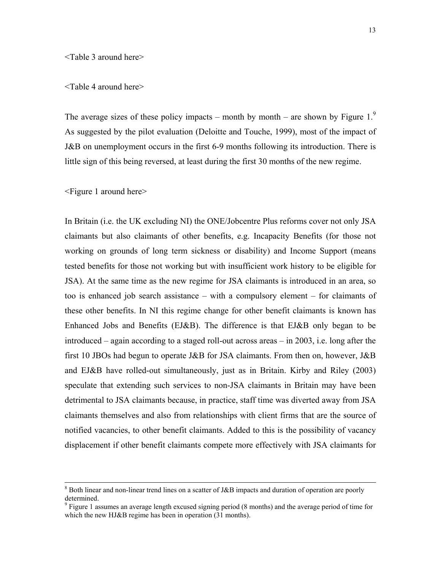#### <Table 3 around here>

#### <Table 4 around here>

The average sizes of these policy impacts – month by month – are shown by Figure 1. $\degree$ As suggested by the pilot evaluation (Deloitte and Touche, 1999), most of the impact of J&B on unemployment occurs in the first 6-9 months following its introduction. There is little sign of this being reversed, at least during the first 30 months of the new regime.

<Figure 1 around here>

In Britain (i.e. the UK excluding NI) the ONE/Jobcentre Plus reforms cover not only JSA claimants but also claimants of other benefits, e.g. Incapacity Benefits (for those not working on grounds of long term sickness or disability) and Income Support (means tested benefits for those not working but with insufficient work history to be eligible for JSA). At the same time as the new regime for JSA claimants is introduced in an area, so too is enhanced job search assistance – with a compulsory element – for claimants of these other benefits. In NI this regime change for other benefit claimants is known has Enhanced Jobs and Benefits (EJ&B). The difference is that EJ&B only began to be introduced – again according to a staged roll-out across areas – in 2003, i.e. long after the first 10 JBOs had begun to operate J&B for JSA claimants. From then on, however, J&B and EJ&B have rolled-out simultaneously, just as in Britain. Kirby and Riley (2003) speculate that extending such services to non-JSA claimants in Britain may have been detrimental to JSA claimants because, in practice, staff time was diverted away from JSA claimants themselves and also from relationships with client firms that are the source of notified vacancies, to other benefit claimants. Added to this is the possibility of vacancy displacement if other benefit claimants compete more effectively with JSA claimants for

 <sup>8</sup> <sup>8</sup> Both linear and non-linear trend lines on a scatter of J&B impacts and duration of operation are poorly determined.

 $9$  Figure 1 assumes an average length excused signing period (8 months) and the average period of time for which the new HJ&B regime has been in operation (31 months).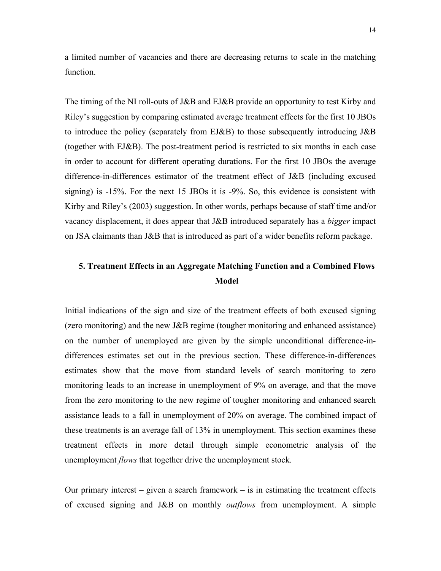a limited number of vacancies and there are decreasing returns to scale in the matching function.

The timing of the NI roll-outs of J&B and EJ&B provide an opportunity to test Kirby and Riley's suggestion by comparing estimated average treatment effects for the first 10 JBOs to introduce the policy (separately from EJ&B) to those subsequently introducing J&B (together with EJ&B). The post-treatment period is restricted to six months in each case in order to account for different operating durations. For the first 10 JBOs the average difference-in-differences estimator of the treatment effect of J&B (including excused signing) is -15%. For the next 15 JBOs it is -9%. So, this evidence is consistent with Kirby and Riley's (2003) suggestion. In other words, perhaps because of staff time and/or vacancy displacement, it does appear that J&B introduced separately has a *bigger* impact on JSA claimants than J&B that is introduced as part of a wider benefits reform package.

### **5. Treatment Effects in an Aggregate Matching Function and a Combined Flows Model**

Initial indications of the sign and size of the treatment effects of both excused signing (zero monitoring) and the new J&B regime (tougher monitoring and enhanced assistance) on the number of unemployed are given by the simple unconditional difference-indifferences estimates set out in the previous section. These difference-in-differences estimates show that the move from standard levels of search monitoring to zero monitoring leads to an increase in unemployment of 9% on average, and that the move from the zero monitoring to the new regime of tougher monitoring and enhanced search assistance leads to a fall in unemployment of 20% on average. The combined impact of these treatments is an average fall of 13% in unemployment. This section examines these treatment effects in more detail through simple econometric analysis of the unemployment *flows* that together drive the unemployment stock.

Our primary interest  $-$  given a search framework  $-$  is in estimating the treatment effects of excused signing and J&B on monthly *outflows* from unemployment. A simple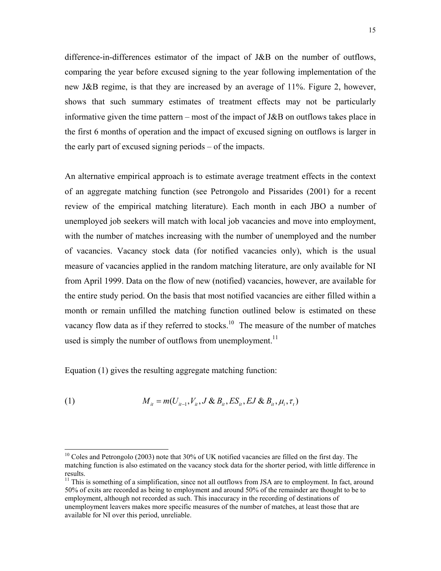difference-in-differences estimator of the impact of J&B on the number of outflows, comparing the year before excused signing to the year following implementation of the new J&B regime, is that they are increased by an average of 11%. Figure 2, however, shows that such summary estimates of treatment effects may not be particularly informative given the time pattern – most of the impact of  $J\&B$  on outflows takes place in the first 6 months of operation and the impact of excused signing on outflows is larger in the early part of excused signing periods – of the impacts.

An alternative empirical approach is to estimate average treatment effects in the context of an aggregate matching function (see Petrongolo and Pissarides (2001) for a recent review of the empirical matching literature). Each month in each JBO a number of unemployed job seekers will match with local job vacancies and move into employment, with the number of matches increasing with the number of unemployed and the number of vacancies. Vacancy stock data (for notified vacancies only), which is the usual measure of vacancies applied in the random matching literature, are only available for NI from April 1999. Data on the flow of new (notified) vacancies, however, are available for the entire study period. On the basis that most notified vacancies are either filled within a month or remain unfilled the matching function outlined below is estimated on these vacancy flow data as if they referred to stocks.<sup>10</sup> The measure of the number of matches used is simply the number of outflows from unemployment.<sup>11</sup>

Equation (1) gives the resulting aggregate matching function:

 $\overline{\phantom{a}}$ 

(1) 
$$
M_{it} = m(U_{it-1}, V_{it}, J \& B_{it}, ES_{it}, EJ \& B_{it}, \mu_i, \tau_t)
$$

<sup>11</sup> This is something of a simplification, since not all outflows from JSA are to employment. In fact, around 50% of exits are recorded as being to employment and around 50% of the remainder are thought to be to employment, although not recorded as such. This inaccuracy in the recording of destinations of unemployment leavers makes more specific measures of the number of matches, at least those that are available for NI over this period, unreliable.

<sup>&</sup>lt;sup>10</sup> Coles and Petrongolo (2003) note that 30% of UK notified vacancies are filled on the first day. The matching function is also estimated on the vacancy stock data for the shorter period, with little difference in results.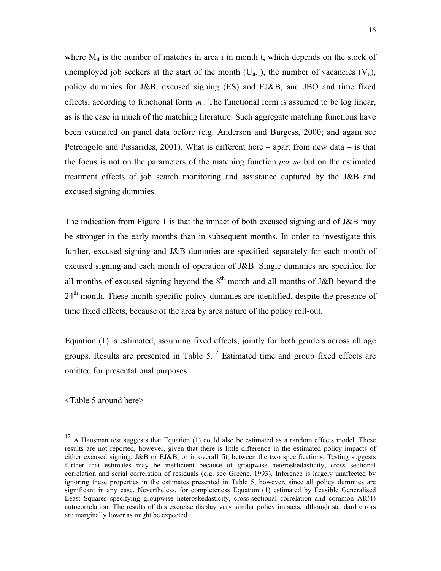where  $M_{it}$  is the number of matches in area i in month t, which depends on the stock of unemployed job seekers at the start of the month  $(U_{i-1})$ , the number of vacancies  $(V_{i})$ , policy dummies for J&B, excused signing (ES) and EJ&B, and JBO and time fixed effects, according to functional form *m* . The functional form is assumed to be log linear, as is the case in much of the matching literature. Such aggregate matching functions have been estimated on panel data before (e.g. Anderson and Burgess, 2000; and again see Petrongolo and Pissarides, 2001). What is different here – apart from new data – is that the focus is not on the parameters of the matching function *per se* but on the estimated treatment effects of job search monitoring and assistance captured by the J&B and excused signing dummies.

The indication from Figure 1 is that the impact of both excused signing and of J&B may be stronger in the early months than in subsequent months. In order to investigate this further, excused signing and J&B dummies are specified separately for each month of excused signing and each month of operation of J&B. Single dummies are specified for all months of excused signing beyond the  $8<sup>th</sup>$  month and all months of J&B beyond the 24<sup>th</sup> month. These month-specific policy dummies are identified, despite the presence of time fixed effects, because of the area by area nature of the policy roll-out.

Equation (1) is estimated, assuming fixed effects, jointly for both genders across all age groups. Results are presented in Table 5.12 Estimated time and group fixed effects are omitted for presentational purposes.

<Table 5 around here>

 $\overline{\phantom{a}}$ 

 $12$  A Hausman test suggests that Equation (1) could also be estimated as a random effects model. These results are not reported, however, given that there is little difference in the estimated policy impacts of either excused signing, J&B or EJ&B, or in overall fit, between the two specifications. Testing suggests further that estimates may be inefficient because of groupwise heteroskedasticity, cross sectional correlation and serial correlation of residuals (e.g. see Greene, 1993). Inference is largely unaffected by ignoring these properties in the estimates presented in Table 5, however, since all policy dummies are significant in any case. Nevertheless, for completeness Equation (1) estimated by Feasible Generalised Least Squares specifying groupwise heteroskedasticity, cross-sectional correlation and common AR(1) autocorrelation. The results of this exercise display very similar policy impacts, although standard errors are marginally lower as might be expected.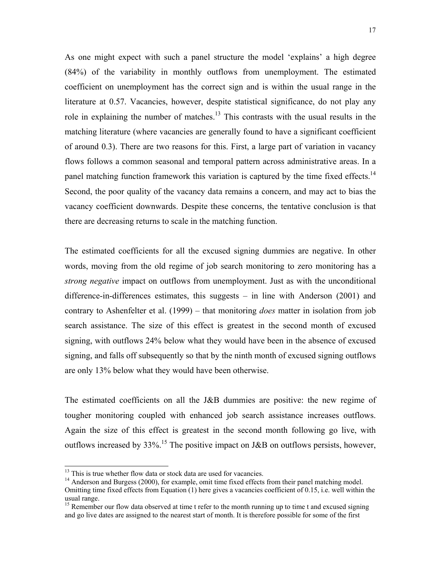As one might expect with such a panel structure the model 'explains' a high degree (84%) of the variability in monthly outflows from unemployment. The estimated coefficient on unemployment has the correct sign and is within the usual range in the literature at 0.57. Vacancies, however, despite statistical significance, do not play any role in explaining the number of matches.<sup>13</sup> This contrasts with the usual results in the matching literature (where vacancies are generally found to have a significant coefficient of around 0.3). There are two reasons for this. First, a large part of variation in vacancy flows follows a common seasonal and temporal pattern across administrative areas. In a panel matching function framework this variation is captured by the time fixed effects.<sup>14</sup> Second, the poor quality of the vacancy data remains a concern, and may act to bias the vacancy coefficient downwards. Despite these concerns, the tentative conclusion is that there are decreasing returns to scale in the matching function.

The estimated coefficients for all the excused signing dummies are negative. In other words, moving from the old regime of job search monitoring to zero monitoring has a *strong negative* impact on outflows from unemployment. Just as with the unconditional difference-in-differences estimates, this suggests – in line with Anderson (2001) and contrary to Ashenfelter et al. (1999) – that monitoring *does* matter in isolation from job search assistance. The size of this effect is greatest in the second month of excused signing, with outflows 24% below what they would have been in the absence of excused signing, and falls off subsequently so that by the ninth month of excused signing outflows are only 13% below what they would have been otherwise.

The estimated coefficients on all the J&B dummies are positive: the new regime of tougher monitoring coupled with enhanced job search assistance increases outflows. Again the size of this effect is greatest in the second month following go live, with outflows increased by 33%.<sup>15</sup> The positive impact on J&B on outflows persists, however,

l

<sup>&</sup>lt;sup>13</sup> This is true whether flow data or stock data are used for vacancies.

<sup>&</sup>lt;sup>14</sup> Anderson and Burgess (2000), for example, omit time fixed effects from their panel matching model. Omitting time fixed effects from Equation (1) here gives a vacancies coefficient of 0.15, i.e. well within the usual range.

<sup>&</sup>lt;sup>15</sup> Remember our flow data observed at time t refer to the month running up to time t and excused signing and go live dates are assigned to the nearest start of month. It is therefore possible for some of the first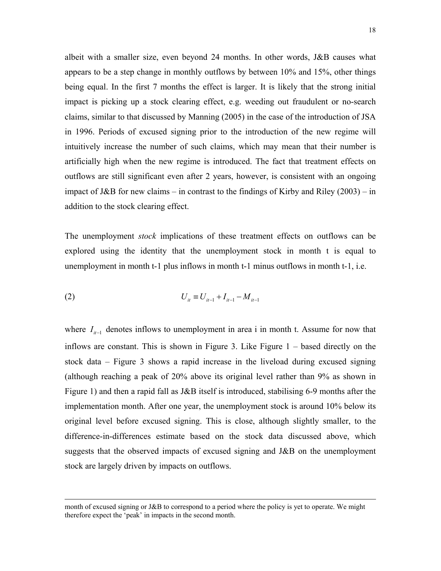albeit with a smaller size, even beyond 24 months. In other words, J&B causes what appears to be a step change in monthly outflows by between 10% and 15%, other things being equal. In the first 7 months the effect is larger. It is likely that the strong initial impact is picking up a stock clearing effect, e.g. weeding out fraudulent or no-search claims, similar to that discussed by Manning (2005) in the case of the introduction of JSA in 1996. Periods of excused signing prior to the introduction of the new regime will intuitively increase the number of such claims, which may mean that their number is artificially high when the new regime is introduced. The fact that treatment effects on outflows are still significant even after 2 years, however, is consistent with an ongoing impact of J&B for new claims – in contrast to the findings of Kirby and Riley  $(2003)$  – in addition to the stock clearing effect.

The unemployment *stock* implications of these treatment effects on outflows can be explored using the identity that the unemployment stock in month t is equal to unemployment in month t-1 plus inflows in month t-1 minus outflows in month t-1, i.e.

(2) 
$$
U_{it} \equiv U_{it-1} + I_{it-1} - M_{it-1}
$$

 $\overline{\phantom{a}}$ 

where  $I_{i-1}$  denotes inflows to unemployment in area i in month t. Assume for now that inflows are constant. This is shown in Figure 3. Like Figure 1 – based directly on the stock data – Figure 3 shows a rapid increase in the liveload during excused signing (although reaching a peak of 20% above its original level rather than 9% as shown in Figure 1) and then a rapid fall as J&B itself is introduced, stabilising 6-9 months after the implementation month. After one year, the unemployment stock is around 10% below its original level before excused signing. This is close, although slightly smaller, to the difference-in-differences estimate based on the stock data discussed above, which suggests that the observed impacts of excused signing and J&B on the unemployment stock are largely driven by impacts on outflows.

month of excused signing or J&B to correspond to a period where the policy is yet to operate. We might therefore expect the 'peak' in impacts in the second month.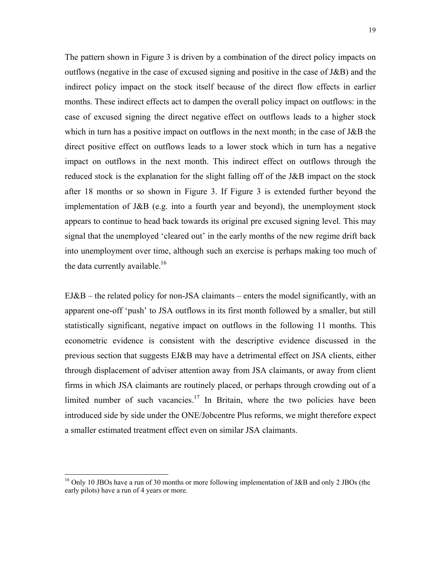The pattern shown in Figure 3 is driven by a combination of the direct policy impacts on outflows (negative in the case of excused signing and positive in the case of J&B) and the indirect policy impact on the stock itself because of the direct flow effects in earlier months. These indirect effects act to dampen the overall policy impact on outflows: in the case of excused signing the direct negative effect on outflows leads to a higher stock which in turn has a positive impact on outflows in the next month; in the case of J&B the direct positive effect on outflows leads to a lower stock which in turn has a negative impact on outflows in the next month. This indirect effect on outflows through the reduced stock is the explanation for the slight falling off of the J&B impact on the stock after 18 months or so shown in Figure 3. If Figure 3 is extended further beyond the implementation of J&B (e.g. into a fourth year and beyond), the unemployment stock appears to continue to head back towards its original pre excused signing level. This may signal that the unemployed 'cleared out' in the early months of the new regime drift back into unemployment over time, although such an exercise is perhaps making too much of the data currently available.<sup>16</sup>

 $EJ&B$  – the related policy for non-JSA claimants – enters the model significantly, with an apparent one-off 'push' to JSA outflows in its first month followed by a smaller, but still statistically significant, negative impact on outflows in the following 11 months. This econometric evidence is consistent with the descriptive evidence discussed in the previous section that suggests EJ&B may have a detrimental effect on JSA clients, either through displacement of adviser attention away from JSA claimants, or away from client firms in which JSA claimants are routinely placed, or perhaps through crowding out of a limited number of such vacancies.<sup>17</sup> In Britain, where the two policies have been introduced side by side under the ONE/Jobcentre Plus reforms, we might therefore expect a smaller estimated treatment effect even on similar JSA claimants.

 $\overline{\phantom{a}}$ 

<sup>&</sup>lt;sup>16</sup> Only 10 JBOs have a run of 30 months or more following implementation of J&B and only 2 JBOs (the early pilots) have a run of 4 years or more.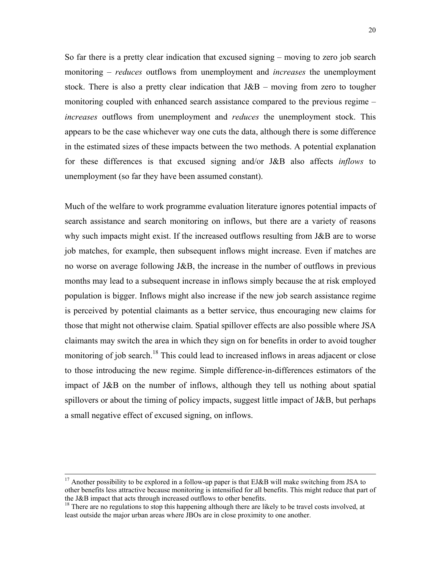So far there is a pretty clear indication that excused signing – moving to zero job search monitoring – *reduces* outflows from unemployment and *increases* the unemployment stock. There is also a pretty clear indication that  $J&B$  – moving from zero to tougher monitoring coupled with enhanced search assistance compared to the previous regime – *increases* outflows from unemployment and *reduces* the unemployment stock. This appears to be the case whichever way one cuts the data, although there is some difference in the estimated sizes of these impacts between the two methods. A potential explanation for these differences is that excused signing and/or J&B also affects *inflows* to unemployment (so far they have been assumed constant).

Much of the welfare to work programme evaluation literature ignores potential impacts of search assistance and search monitoring on inflows, but there are a variety of reasons why such impacts might exist. If the increased outflows resulting from J&B are to worse job matches, for example, then subsequent inflows might increase. Even if matches are no worse on average following J&B, the increase in the number of outflows in previous months may lead to a subsequent increase in inflows simply because the at risk employed population is bigger. Inflows might also increase if the new job search assistance regime is perceived by potential claimants as a better service, thus encouraging new claims for those that might not otherwise claim. Spatial spillover effects are also possible where JSA claimants may switch the area in which they sign on for benefits in order to avoid tougher monitoring of job search.<sup>18</sup> This could lead to increased inflows in areas adjacent or close to those introducing the new regime. Simple difference-in-differences estimators of the impact of J&B on the number of inflows, although they tell us nothing about spatial spillovers or about the timing of policy impacts, suggest little impact of J&B, but perhaps a small negative effect of excused signing, on inflows.

<sup>&</sup>lt;sup>17</sup> Another possibility to be explored in a follow-up paper is that EJ&B will make switching from JSA to other benefits less attractive because monitoring is intensified for all benefits. This might reduce that part of the J&B impact that acts through increased outflows to other benefits.

<sup>&</sup>lt;sup>18</sup> There are no regulations to stop this happening although there are likely to be travel costs involved, at least outside the major urban areas where JBOs are in close proximity to one another.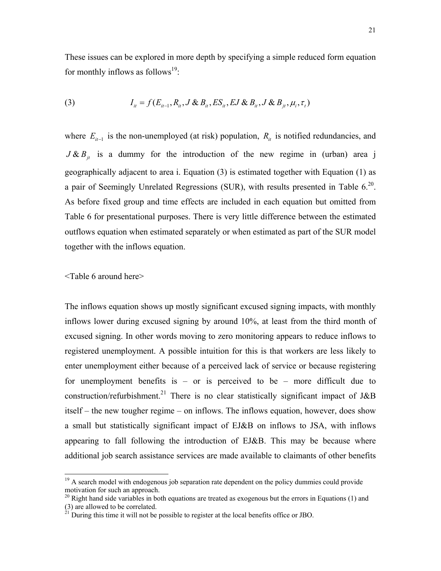These issues can be explored in more depth by specifying a simple reduced form equation for monthly inflows as follows<sup>19</sup>:

(3) 
$$
I_{it} = f(E_{it-1}, R_{it}, J \& B_{it}, ES_{it}, EJ \& B_{it}, J \& B_{jt}, \mu_i, \tau_t)
$$

where  $E_{i-1}$  is the non-unemployed (at risk) population,  $R_{i}$  is notified redundancies, and  $J & B_{ii}$  is a dummy for the introduction of the new regime in (urban) area j geographically adjacent to area i. Equation (3) is estimated together with Equation (1) as a pair of Seemingly Unrelated Regressions (SUR), with results presented in Table  $6^{20}$ . As before fixed group and time effects are included in each equation but omitted from Table 6 for presentational purposes. There is very little difference between the estimated outflows equation when estimated separately or when estimated as part of the SUR model together with the inflows equation.

#### <Table 6 around here>

 $\overline{\phantom{a}}$ 

The inflows equation shows up mostly significant excused signing impacts, with monthly inflows lower during excused signing by around 10%, at least from the third month of excused signing. In other words moving to zero monitoring appears to reduce inflows to registered unemployment. A possible intuition for this is that workers are less likely to enter unemployment either because of a perceived lack of service or because registering for unemployment benefits is – or is perceived to be – more difficult due to construction/refurbishment.<sup>21</sup> There is no clear statistically significant impact of J&B itself – the new tougher regime – on inflows. The inflows equation, however, does show a small but statistically significant impact of EJ&B on inflows to JSA, with inflows appearing to fall following the introduction of EJ&B. This may be because where additional job search assistance services are made available to claimants of other benefits

 $19$  A search model with endogenous job separation rate dependent on the policy dummies could provide motivation for such an approach.

 $20$  Right hand side variables in both equations are treated as exogenous but the errors in Equations (1) and (3) are allowed to be correlated.

 $^{21}$  During this time it will not be possible to register at the local benefits office or JBO.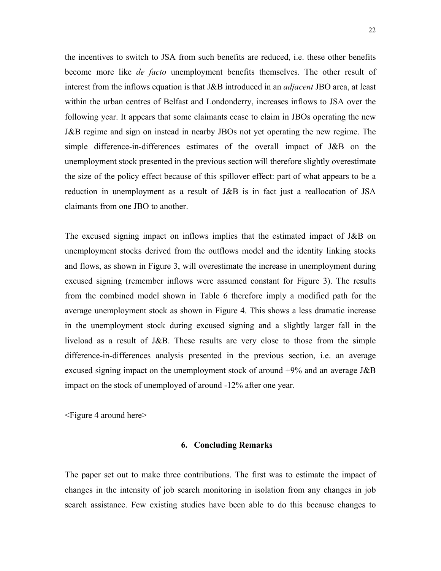the incentives to switch to JSA from such benefits are reduced, i.e. these other benefits become more like *de facto* unemployment benefits themselves. The other result of interest from the inflows equation is that J&B introduced in an *adjacent* JBO area, at least within the urban centres of Belfast and Londonderry, increases inflows to JSA over the following year. It appears that some claimants cease to claim in JBOs operating the new J&B regime and sign on instead in nearby JBOs not yet operating the new regime. The simple difference-in-differences estimates of the overall impact of J&B on the unemployment stock presented in the previous section will therefore slightly overestimate the size of the policy effect because of this spillover effect: part of what appears to be a reduction in unemployment as a result of J&B is in fact just a reallocation of JSA claimants from one JBO to another.

The excused signing impact on inflows implies that the estimated impact of J&B on unemployment stocks derived from the outflows model and the identity linking stocks and flows, as shown in Figure 3, will overestimate the increase in unemployment during excused signing (remember inflows were assumed constant for Figure 3). The results from the combined model shown in Table 6 therefore imply a modified path for the average unemployment stock as shown in Figure 4. This shows a less dramatic increase in the unemployment stock during excused signing and a slightly larger fall in the liveload as a result of J&B. These results are very close to those from the simple difference-in-differences analysis presented in the previous section, i.e. an average excused signing impact on the unemployment stock of around +9% and an average J&B impact on the stock of unemployed of around -12% after one year.

<Figure 4 around here>

#### **6. Concluding Remarks**

The paper set out to make three contributions. The first was to estimate the impact of changes in the intensity of job search monitoring in isolation from any changes in job search assistance. Few existing studies have been able to do this because changes to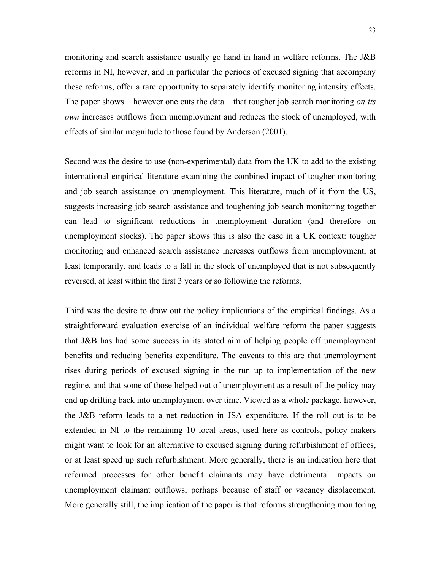monitoring and search assistance usually go hand in hand in welfare reforms. The J&B reforms in NI, however, and in particular the periods of excused signing that accompany these reforms, offer a rare opportunity to separately identify monitoring intensity effects. The paper shows – however one cuts the data – that tougher job search monitoring *on its own* increases outflows from unemployment and reduces the stock of unemployed, with effects of similar magnitude to those found by Anderson (2001).

Second was the desire to use (non-experimental) data from the UK to add to the existing international empirical literature examining the combined impact of tougher monitoring and job search assistance on unemployment. This literature, much of it from the US, suggests increasing job search assistance and toughening job search monitoring together can lead to significant reductions in unemployment duration (and therefore on unemployment stocks). The paper shows this is also the case in a UK context: tougher monitoring and enhanced search assistance increases outflows from unemployment, at least temporarily, and leads to a fall in the stock of unemployed that is not subsequently reversed, at least within the first 3 years or so following the reforms.

Third was the desire to draw out the policy implications of the empirical findings. As a straightforward evaluation exercise of an individual welfare reform the paper suggests that J&B has had some success in its stated aim of helping people off unemployment benefits and reducing benefits expenditure. The caveats to this are that unemployment rises during periods of excused signing in the run up to implementation of the new regime, and that some of those helped out of unemployment as a result of the policy may end up drifting back into unemployment over time. Viewed as a whole package, however, the J&B reform leads to a net reduction in JSA expenditure. If the roll out is to be extended in NI to the remaining 10 local areas, used here as controls, policy makers might want to look for an alternative to excused signing during refurbishment of offices, or at least speed up such refurbishment. More generally, there is an indication here that reformed processes for other benefit claimants may have detrimental impacts on unemployment claimant outflows, perhaps because of staff or vacancy displacement. More generally still, the implication of the paper is that reforms strengthening monitoring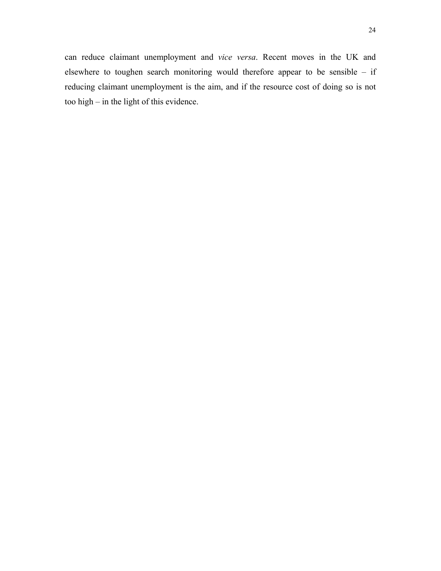can reduce claimant unemployment and *vice versa*. Recent moves in the UK and elsewhere to toughen search monitoring would therefore appear to be sensible – if reducing claimant unemployment is the aim, and if the resource cost of doing so is not too high – in the light of this evidence.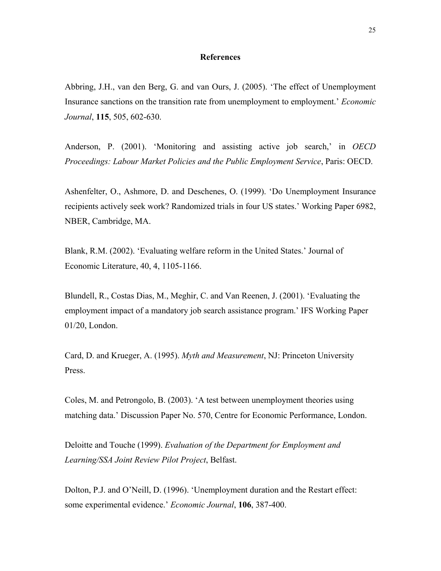#### **References**

Abbring, J.H., van den Berg, G. and van Ours, J. (2005). 'The effect of Unemployment Insurance sanctions on the transition rate from unemployment to employment.' *Economic Journal*, **115**, 505, 602-630.

Anderson, P. (2001). 'Monitoring and assisting active job search,' in *OECD Proceedings: Labour Market Policies and the Public Employment Service*, Paris: OECD.

Ashenfelter, O., Ashmore, D. and Deschenes, O. (1999). 'Do Unemployment Insurance recipients actively seek work? Randomized trials in four US states.' Working Paper 6982, NBER, Cambridge, MA.

Blank, R.M. (2002). 'Evaluating welfare reform in the United States.' Journal of Economic Literature, 40, 4, 1105-1166.

Blundell, R., Costas Dias, M., Meghir, C. and Van Reenen, J. (2001). 'Evaluating the employment impact of a mandatory job search assistance program.' IFS Working Paper 01/20, London.

Card, D. and Krueger, A. (1995). *Myth and Measurement*, NJ: Princeton University Press.

Coles, M. and Petrongolo, B. (2003). 'A test between unemployment theories using matching data.' Discussion Paper No. 570, Centre for Economic Performance, London.

Deloitte and Touche (1999). *Evaluation of the Department for Employment and Learning/SSA Joint Review Pilot Project*, Belfast.

Dolton, P.J. and O'Neill, D. (1996). 'Unemployment duration and the Restart effect: some experimental evidence.' *Economic Journal*, **106**, 387-400.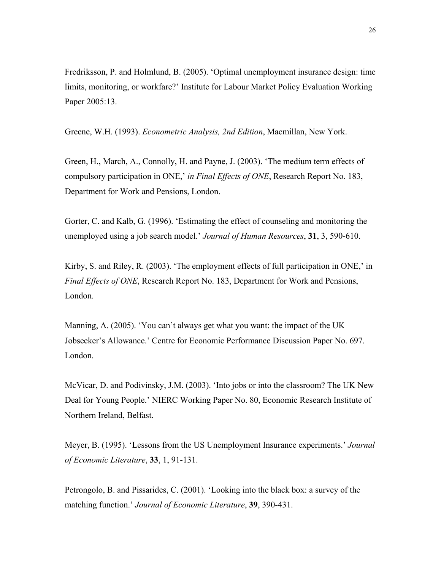Fredriksson, P. and Holmlund, B. (2005). 'Optimal unemployment insurance design: time limits, monitoring, or workfare?' Institute for Labour Market Policy Evaluation Working Paper 2005:13.

Greene, W.H. (1993). *Econometric Analysis, 2nd Edition*, Macmillan, New York.

Green, H., March, A., Connolly, H. and Payne, J. (2003). 'The medium term effects of compulsory participation in ONE,' *in Final Effects of ONE*, Research Report No. 183, Department for Work and Pensions, London.

Gorter, C. and Kalb, G. (1996). 'Estimating the effect of counseling and monitoring the unemployed using a job search model.' *Journal of Human Resources*, **31**, 3, 590-610.

Kirby, S. and Riley, R. (2003). 'The employment effects of full participation in ONE,' in *Final Effects of ONE*, Research Report No. 183, Department for Work and Pensions, London.

Manning, A. (2005). 'You can't always get what you want: the impact of the UK Jobseeker's Allowance.' Centre for Economic Performance Discussion Paper No. 697. London.

McVicar, D. and Podivinsky, J.M. (2003). 'Into jobs or into the classroom? The UK New Deal for Young People.' NIERC Working Paper No. 80, Economic Research Institute of Northern Ireland, Belfast.

Meyer, B. (1995). 'Lessons from the US Unemployment Insurance experiments.' *Journal of Economic Literature*, **33**, 1, 91-131.

Petrongolo, B. and Pissarides, C. (2001). 'Looking into the black box: a survey of the matching function.' *Journal of Economic Literature*, **39**, 390-431.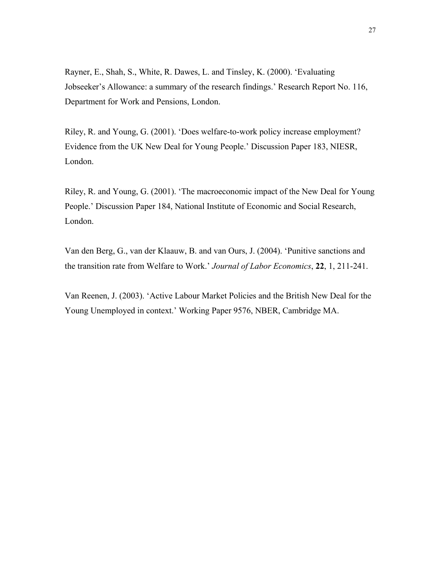Rayner, E., Shah, S., White, R. Dawes, L. and Tinsley, K. (2000). 'Evaluating Jobseeker's Allowance: a summary of the research findings.' Research Report No. 116, Department for Work and Pensions, London.

Riley, R. and Young, G. (2001). 'Does welfare-to-work policy increase employment? Evidence from the UK New Deal for Young People.' Discussion Paper 183, NIESR, London.

Riley, R. and Young, G. (2001). 'The macroeconomic impact of the New Deal for Young People.' Discussion Paper 184, National Institute of Economic and Social Research, London.

Van den Berg, G., van der Klaauw, B. and van Ours, J. (2004). 'Punitive sanctions and the transition rate from Welfare to Work.' *Journal of Labor Economics*, **22**, 1, 211-241.

Van Reenen, J. (2003). 'Active Labour Market Policies and the British New Deal for the Young Unemployed in context.' Working Paper 9576, NBER, Cambridge MA.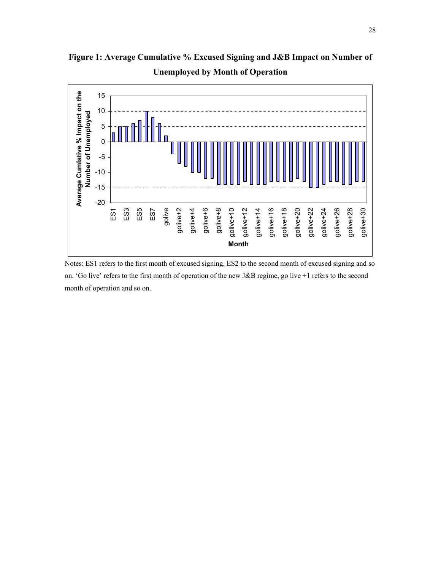**Figure 1: Average Cumulative % Excused Signing and J&B Impact on Number of Unemployed by Month of Operation** 



Notes: ES1 refers to the first month of excused signing, ES2 to the second month of excused signing and so on. 'Go live' refers to the first month of operation of the new J&B regime, go live +1 refers to the second month of operation and so on.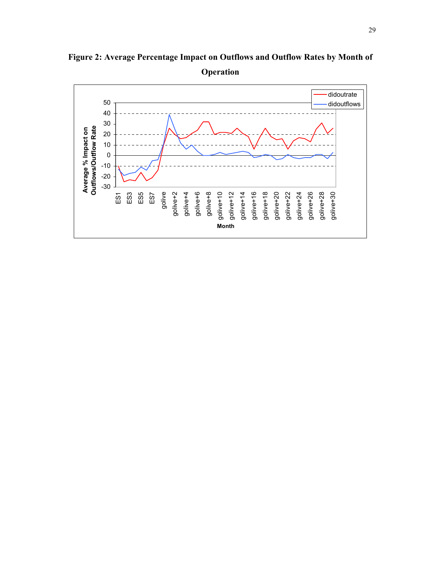

**Figure 2: Average Percentage Impact on Outflows and Outflow Rates by Month of Operation**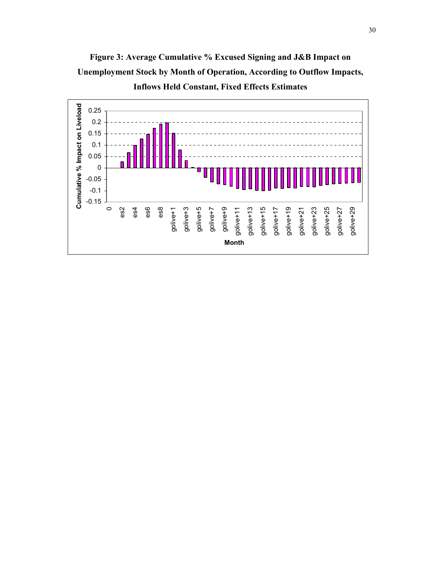

**Figure 3: Average Cumulative % Excused Signing and J&B Impact on Unemployment Stock by Month of Operation, According to Outflow Impacts, Inflows Held Constant, Fixed Effects Estimates**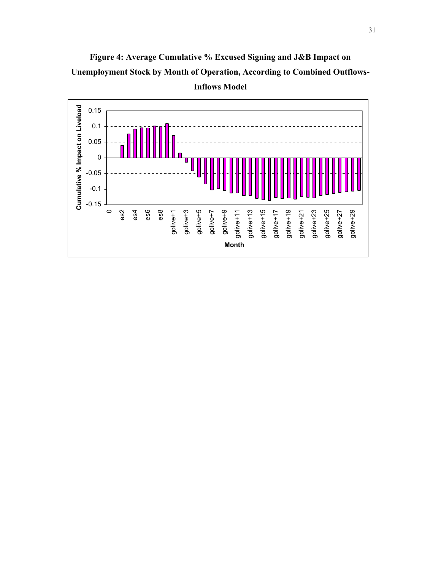

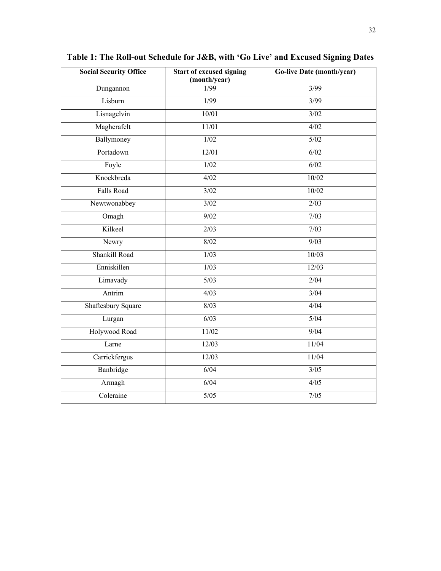| <b>Social Security Office</b> | <b>Start of excused signing</b><br>(month/year) | <b>Go-live Date (month/year)</b> |
|-------------------------------|-------------------------------------------------|----------------------------------|
| Dungannon                     | 1/99                                            | 3/99                             |
| Lisburn                       | 1/99                                            | 3/99                             |
| Lisnagelvin                   | 10/01                                           | 3/02                             |
| Magherafelt                   | 11/01                                           | 4/02                             |
| Ballymoney                    | 1/02                                            | $\overline{5/02}$                |
| Portadown                     | 12/01                                           | 6/02                             |
| Foyle                         | $\overline{1/02}$                               | $\overline{6/02}$                |
| Knockbreda                    | 4/02                                            | 10/02                            |
| Falls Road                    | $\overline{\frac{3}{02}}$                       | 10/02                            |
| Newtwonabbey                  | 3/02                                            | 2/03                             |
| Omagh                         | 9/02                                            | 7/03                             |
| Kilkeel                       | 2/03                                            | 7/03                             |
| Newry                         | 8/02                                            | 9/03                             |
| Shankill Road                 | 1/03                                            | 10/03                            |
| Enniskillen                   | 1/03                                            | 12/03                            |
| Limavady                      | $5/03$                                          | 2/04                             |
| Antrim                        | 4/03                                            | 3/04                             |
| <b>Shaftesbury Square</b>     | 8/03                                            | 4/04                             |
| Lurgan                        | 6/03                                            | $5/04$                           |
| Holywood Road                 | 11/02                                           | 9/04                             |
| Larne                         | 12/03                                           | 11/04                            |
| Carrickfergus                 | 12/03                                           | 11/04                            |
| Banbridge                     | 6/04                                            | $\overline{\frac{3}{05}}$        |
| Armagh                        | 6/04                                            | 4/05                             |
| Coleraine                     | $5/05$                                          | $7/05$                           |

**Table 1: The Roll-out Schedule for J&B, with 'Go Live' and Excused Signing Dates**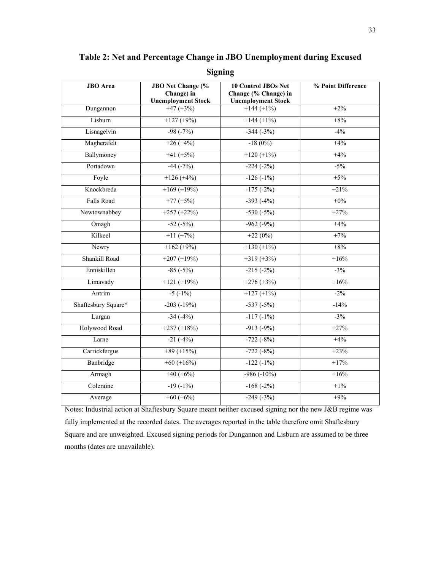| <b>JBO</b> Area     | <b>JBO</b> Net Change (%<br>Change) in<br><b>Unemployment Stock</b> | <b>10 Control JBOs Net</b><br>Change (% Change) in<br><b>Unemployment Stock</b> | % Point Difference |
|---------------------|---------------------------------------------------------------------|---------------------------------------------------------------------------------|--------------------|
| Dungannon           | $+47 (+3%)$                                                         | $+144 (+1\%)$                                                                   | $+2%$              |
| Lisburn             | $+127 (+9%)$                                                        | $+144 (+1\%)$                                                                   | $+8%$              |
| Lisnagelvin         | $-98(-7%)$                                                          | $-344(-3%)$                                                                     | $-4%$              |
| Magherafelt         | $+26 (+4%)$                                                         | $-18(0\%)$                                                                      | $+4%$              |
| Ballymoney          | $+41 (+5%)$                                                         | $+120 (+1\%)$                                                                   | $+4%$              |
| Portadown           | $-44 (-7%)$                                                         | $-224(-2%)$                                                                     | $-5%$              |
| Foyle               | $+126 (+4%)$                                                        | $-126(-1%)$                                                                     | $+5%$              |
| Knockbreda          | $+169 (+19%)$                                                       | $-175(-2%)$                                                                     | $+21%$             |
| Falls Road          | $+77 (+5%)$                                                         | $-393(-4%)$                                                                     | $+0\%$             |
| Newtownabbey        | $+257 (+22%)$                                                       | $-530(-5%)$                                                                     | $+27%$             |
| Omagh               | $-52(-5%)$                                                          | $-962(-9%)$                                                                     | $+4%$              |
| Kilkeel             | $+11 (+7%)$                                                         | $+22(0%)$                                                                       | $+7%$              |
| Newry               | $+162 (+9%)$                                                        | $+130 (+1\%)$                                                                   | $+8%$              |
| Shankill Road       | $+207 (+19%)$                                                       | $+319 (+3%)$                                                                    | $+16%$             |
| Enniskillen         | $-85(-5%)$                                                          | $-215(-2%)$                                                                     | $-3\%$             |
| Limavady            | $+121 (+19%)$                                                       | $+276 (+3\%)$                                                                   | $+16%$             |
| Antrim              | $-5(-1\%)$                                                          | $+127 (+1\%)$                                                                   | $-2\%$             |
| Shaftesbury Square* | $-203(-19%)$                                                        | $-537(-5%)$                                                                     | $-14%$             |
| Lurgan              | $-34(-4%)$                                                          | $-117(-1%)$                                                                     | $-3%$              |
| Holywood Road       | $+237 (+18\%)$                                                      | $-913(-9%)$                                                                     | $+27%$             |
| Larne               | $-21(-4%)$                                                          | $-722(-8%)$                                                                     | $+4%$              |
| Carrickfergus       | $+89 (+15%)$                                                        | $-722(-8%)$                                                                     | $+23%$             |
| Banbridge           | $+60 (+16%)$                                                        | $-122(-1%)$                                                                     | $+17%$             |
| Armagh              | $+40 (+6%)$                                                         | $-986(-10%)$                                                                    | $+16%$             |
| Coleraine           | $-19(-1%)$                                                          | $-168(-2%)$                                                                     | $+1\%$             |
| Average             | $+60 (+6%)$                                                         | $-249(-3%)$                                                                     | $+9%$              |

**Table 2: Net and Percentage Change in JBO Unemployment during Excused** 

**Signing** 

Notes: Industrial action at Shaftesbury Square meant neither excused signing nor the new J&B regime was fully implemented at the recorded dates. The averages reported in the table therefore omit Shaftesbury Square and are unweighted. Excused signing periods for Dungannon and Lisburn are assumed to be three months (dates are unavailable).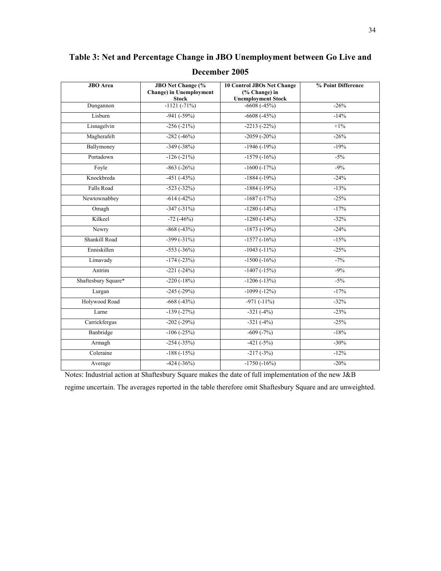**JBO Area JBO Net Change (% Change) in Unemployment Stock 10 Control JBOs Net Change (% Change) in Unemployment Stock % Point Difference**  Dungannon -1121 (-71%) -6608 (-45%) -26% Lisburn  $-941 (-59\%)$   $-6608 (-45\%)$   $-14\%$ Lisnagelvin  $-256 (-21\%)$   $-2213 (-22\%)$   $+1\%$ Magherafelt -282 (-46%) -2059 (-20%) -26% -26% Ballymoney -349 (-38%) -1946 (-19%) -19% -19% Portadown -126 (-21%) -1579 (-16%) -5% Foyle  $-863 (-26%)$   $-1600 (-17%)$   $-9\%$ Knockbreda -451 (-43%) -1884 (-19%) -24% Falls Road -523 (-32%) -1884 (-19%) -13% -13% Newtownabbey -614 (-42%) -1687 (-17%) -25% Omagh -347 (-31%) -1280 (-14%) -1280 (-14%) Kilkeel -72 (-46%) -1280 (-14%) -32% Newry -868 (-43%) -868 -43% -1873 (-19%) -24% Shankill Road -399 (-31%) -1577 (-16%) -158% Enniskillen -553 (-36%) -1043 (-11%) -25% Limavady -174 (-23%) -1500 (-16%) -1500 -7% Antrim  $-221 (-24%)$   $-1407 (-15%)$   $-9\%$ Shaftesbury Square\* -220 (-18%) -1206 (-13%) -5% Lurgan  $-245 (-29\%)$   $-1099 (-12\%)$   $-17\%$ Holywood Road -668 (-43%) -971 (-11%) -32% Larne  $-139 (-27%)$   $-321 (-4%)$   $-23%$ Carrickfergus -202 (-29%) -321 (-4%) -325% Banbridge -106 (-25%) -609 (-7%) -18% Armagh  $-254 (-35\%)$   $-421 (-5\%)$   $-30\%$ Coleraine -188 (-15%) -217 (-3%) -217 (-3%) Average  $-424 (-36%)$   $-1750 (-16%)$   $-20%$ 

**Table 3: Net and Percentage Change in JBO Unemployment between Go Live and December 2005** 

Notes: Industrial action at Shaftesbury Square makes the date of full implementation of the new J&B regime uncertain. The averages reported in the table therefore omit Shaftesbury Square and are unweighted.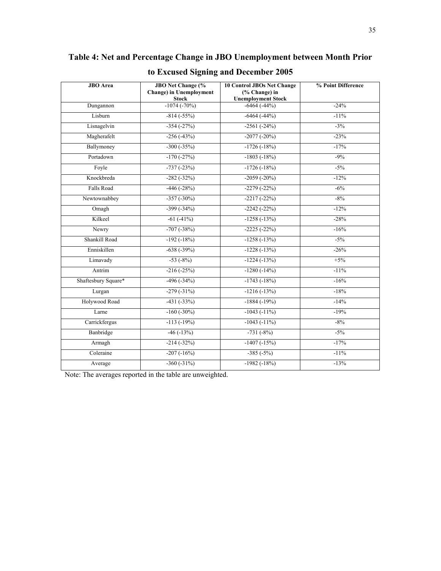| <b>JBO</b> Area     | <b>JBO</b> Net Change (%<br><b>Change)</b> in Unemployment<br><b>Stock</b> | <b>10 Control JBOs Net Change</b><br>(% Change) in<br><b>Unemployment Stock</b> | % Point Difference |  |  |
|---------------------|----------------------------------------------------------------------------|---------------------------------------------------------------------------------|--------------------|--|--|
| Dungannon           | $-1074(-70%)$                                                              | $-6464(-44%)$                                                                   | $-24%$             |  |  |
| Lisburn             | $-814(-55%)$                                                               | $-6464(-44%)$                                                                   | $-11%$             |  |  |
| Lisnagelvin         | $-354(-27%)$                                                               | $-2561(-24%)$                                                                   | $-3%$              |  |  |
| Magherafelt         | $-256(-43%)$                                                               | $-2077(-20%)$                                                                   | $-23%$             |  |  |
| Ballymoney          | $-300(-35%)$                                                               | $-1726(-18%)$                                                                   | $-17%$             |  |  |
| Portadown           | $-170(-27%)$                                                               | $-1803(-18%)$                                                                   | $-9%$              |  |  |
| Foyle               | $-737(-23%)$                                                               | $-1726(-18%)$                                                                   | $-5%$              |  |  |
| Knockbreda          | $-282(-32%)$                                                               | $-2059(-20%)$                                                                   | $-12%$             |  |  |
| <b>Falls Road</b>   | $-446(-28%)$                                                               | $-2279(-22%)$                                                                   | $-6%$              |  |  |
| Newtownabbey        | $-357(-30\%)$                                                              | $-2217(-22%)$                                                                   | $-8%$              |  |  |
| Omagh               | $-399(-34%)$                                                               | $-2242(-22%)$                                                                   | $-12%$             |  |  |
| Kilkeel             | $-61(-41%)$                                                                | $-1258(-13%)$                                                                   | $-28%$             |  |  |
| Newry               | $-707(-38%)$                                                               | $-2225(-22%)$                                                                   | $-16%$             |  |  |
| Shankill Road       | $-192(-18%)$                                                               | $-1258(-13%)$                                                                   | $-5%$              |  |  |
| Enniskillen         | $-638(-39%)$                                                               | $-1228(-13%)$                                                                   | $-26%$             |  |  |
| Limavady            | $-53(-8%)$                                                                 | $-1224(-13%)$                                                                   | $+5%$              |  |  |
| Antrim              | $-216(-25%)$                                                               | $-1280(-14%)$                                                                   | $-11%$             |  |  |
| Shaftesbury Square* | $-496(-34%)$                                                               | $-1743(-18%)$                                                                   | $-16%$             |  |  |
| Lurgan              | $-279(-31\%)$                                                              | $-1216(-13%)$                                                                   | $-18%$             |  |  |
| Holywood Road       | $-431(-33%)$                                                               | $-1884(-19%)$                                                                   | $-14%$             |  |  |
| Larne               | $-160(-30\%)$                                                              | $-1043(-11\%)$                                                                  | $-19%$             |  |  |
| Carrickfergus       | $-113(-19%)$                                                               | $-1043(-11\%)$                                                                  | $-8%$              |  |  |
| Banbridge           | $-46(-13%)$                                                                | $-731(-8%)$                                                                     | $-5%$              |  |  |
| Armagh              | $-214(-32%)$                                                               | $-1407(-15%)$                                                                   | $-17%$             |  |  |
| Coleraine           | $-207(-16%)$                                                               | $-385(-5%)$                                                                     | $-11%$             |  |  |
| Average             | $-360(-31\%)$                                                              | $-1982(-18%)$                                                                   | $-13%$             |  |  |

## **Table 4: Net and Percentage Change in JBO Unemployment between Month Prior to Excused Signing and December 2005**

Note: The averages reported in the table are unweighted.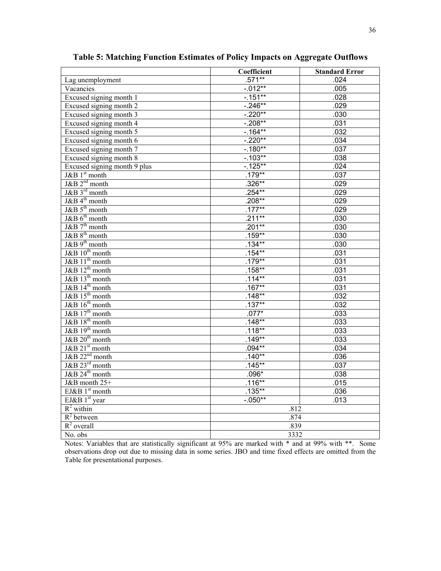|                              | Coefficient | <b>Standard Error</b> |  |
|------------------------------|-------------|-----------------------|--|
| Lag unemployment             | $.571**$    | .024                  |  |
| Vacancies                    | $-0.012***$ | .005                  |  |
| Excused signing month 1      | $-0.151***$ | .028                  |  |
| Excused signing month 2      | $-246**$    | .029                  |  |
| Excused signing month 3      | $-220**$    | .030                  |  |
| Excused signing month 4      | $-208**$    | .031                  |  |
| Excused signing month 5      | $-164**$    | .032                  |  |
| Excused signing month 6      | $-.220**$   | .034                  |  |
| Excused signing month 7      | $-180**$    | .037                  |  |
| Excused signing month 8      | $-0.103**$  | .038                  |  |
| Excused signing month 9 plus | $-125**$    | .024                  |  |
| $J\&B1^{st}$ month           | $.179**$    | .037                  |  |
| $J\&B 2nd$ month             | $.326**$    | .029                  |  |
| J&B 3rd month                | $.254***$   | .029                  |  |
| J&B 4 <sup>th</sup> month    | $.208**$    | .029                  |  |
| $J&B 5th$ month              | $.177***$   | .029                  |  |
| J&B 6 <sup>th</sup> month    | $.211**$    | ,030                  |  |
| $J&B 7th$ month              | $.201**$    | .030                  |  |
| J&B 8 <sup>th</sup> month    | $.159**$    | .030                  |  |
| $J\&B9^{th}$ month           | $.134***$   | .030                  |  |
| J&B 10 <sup>th</sup> month   | $.154**$    | .031                  |  |
| J&B 11 <sup>th</sup> month   | $.179***$   | .031                  |  |
| $J&B12th$ month              | $.158**$    | .031                  |  |
| J&B 13 <sup>th</sup> month   | $.114**$    | .031                  |  |
| $J&B14th$ month              | $.167***$   | .031                  |  |
| J&B 15 <sup>th</sup> month   | $.148**$    | .032                  |  |
| $J&B16th$ month              | $.137***$   | .032                  |  |
| J&B $17th$ month             | $.077*$     | .033                  |  |
| $J&B18th$ month              | $.148**$    | .033                  |  |
| J&B 19 <sup>th</sup> month   | $.118***$   | .033                  |  |
| $J&B 20th$ month             | $.149**$    | .033                  |  |
| J&B 21 <sup>st</sup> month   | $.094**$    | .034                  |  |
| $J&B$ $22nd$ month           | $.140**$    | .036                  |  |
| J&B 23rd month               | $.145**$    | .037                  |  |
| J&B 24 <sup>th</sup> month   | $.096*$     | .038                  |  |
| J&B month 25+                | $.116***$   | .015                  |  |
| $EJ\&B1st$ month             | $.135***$   | .036                  |  |
| EJ&B $1st$ year              | $-.050**$   | .013                  |  |
| $\overline{R^2}$ within      |             | .812                  |  |
| $\overline{R}^2$ between     | .874        |                       |  |
| $R^2$ overall                | .839        |                       |  |
| No. obs                      | 3332        |                       |  |

**Table 5: Matching Function Estimates of Policy Impacts on Aggregate Outflows** 

Notes: Variables that are statistically significant at 95% are marked with \* and at 99% with \*\*. Some observations drop out due to missing data in some series. JBO and time fixed effects are omitted from the Table for presentational purposes.